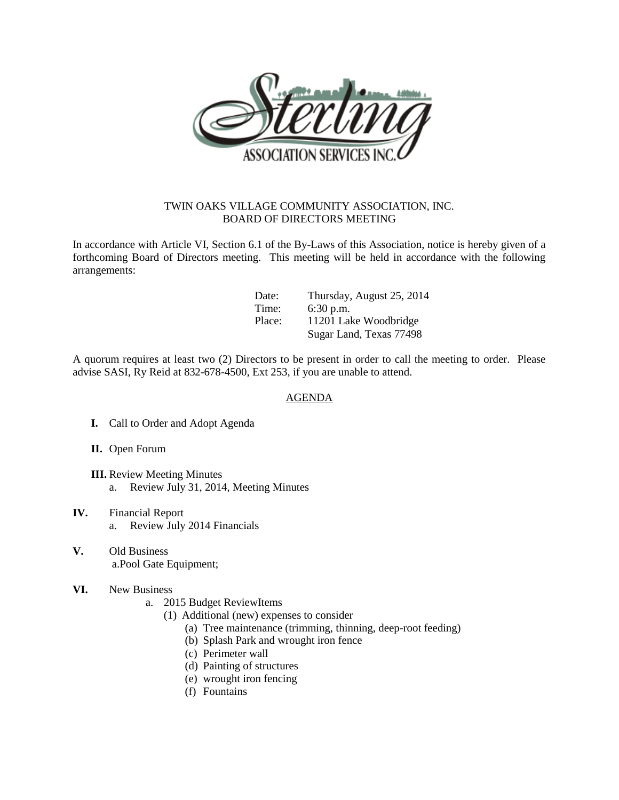

## TWIN OAKS VILLAGE COMMUNITY ASSOCIATION, INC. BOARD OF DIRECTORS MEETING

In accordance with Article VI, Section 6.1 of the By-Laws of this Association, notice is hereby given of a forthcoming Board of Directors meeting. This meeting will be held in accordance with the following arrangements:

| Date:  | Thursday, August 25, 2014 |
|--------|---------------------------|
| Time:  | $6:30$ p.m.               |
| Place: | 11201 Lake Woodbridge     |
|        | Sugar Land, Texas 77498   |

A quorum requires at least two (2) Directors to be present in order to call the meeting to order. Please advise SASI, Ry Reid at 832-678-4500, Ext 253, if you are unable to attend.

## AGENDA

- **I.** Call to Order and Adopt Agenda
- **II.** Open Forum
- **III.** Review Meeting Minutes a. Review July 31, 2014, Meeting Minutes
- **IV.** Financial Report a. Review July 2014 Financials
- **V.** Old Business a.Pool Gate Equipment;
- **VI.** New Business
	- a. 2015 Budget ReviewItems
		- (1) Additional (new) expenses to consider
			- (a) Tree maintenance (trimming, thinning, deep-root feeding)
			- (b) Splash Park and wrought iron fence
			- (c) Perimeter wall
			- (d) Painting of structures
			- (e) wrought iron fencing
			- (f) Fountains